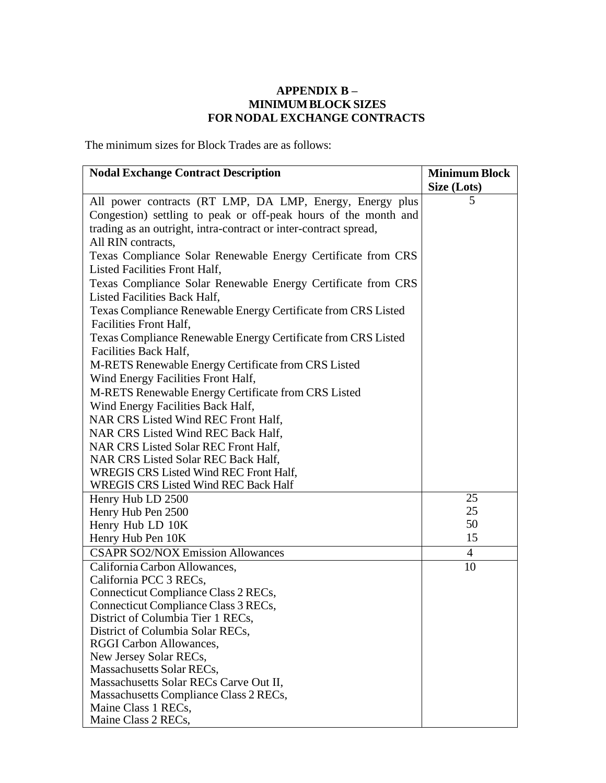## **APPENDIX B – MINIMUMBLOCK SIZES FOR NODAL EXCHANGE CONTRACTS**

The minimum sizes for Block Trades are as follows:

| <b>Nodal Exchange Contract Description</b>                       | <b>Minimum Block</b> |
|------------------------------------------------------------------|----------------------|
|                                                                  | Size (Lots)          |
| All power contracts (RT LMP, DA LMP, Energy, Energy plus         | 5                    |
| Congestion) settling to peak or off-peak hours of the month and  |                      |
| trading as an outright, intra-contract or inter-contract spread, |                      |
| All RIN contracts,                                               |                      |
| Texas Compliance Solar Renewable Energy Certificate from CRS     |                      |
| Listed Facilities Front Half,                                    |                      |
| Texas Compliance Solar Renewable Energy Certificate from CRS     |                      |
| Listed Facilities Back Half,                                     |                      |
| Texas Compliance Renewable Energy Certificate from CRS Listed    |                      |
| Facilities Front Half,                                           |                      |
| Texas Compliance Renewable Energy Certificate from CRS Listed    |                      |
| Facilities Back Half,                                            |                      |
| M-RETS Renewable Energy Certificate from CRS Listed              |                      |
| Wind Energy Facilities Front Half,                               |                      |
| M-RETS Renewable Energy Certificate from CRS Listed              |                      |
| Wind Energy Facilities Back Half,                                |                      |
| NAR CRS Listed Wind REC Front Half,                              |                      |
| NAR CRS Listed Wind REC Back Half,                               |                      |
| NAR CRS Listed Solar REC Front Half,                             |                      |
| NAR CRS Listed Solar REC Back Half,                              |                      |
| WREGIS CRS Listed Wind REC Front Half,                           |                      |
| <b>WREGIS CRS Listed Wind REC Back Half</b>                      |                      |
| Henry Hub LD 2500                                                | 25                   |
| Henry Hub Pen 2500                                               | 25                   |
| Henry Hub LD 10K                                                 | 50                   |
| Henry Hub Pen 10K                                                | 15                   |
| <b>CSAPR SO2/NOX Emission Allowances</b>                         | $\overline{4}$       |
| California Carbon Allowances,                                    | 10                   |
| California PCC 3 RECs,                                           |                      |
| Connecticut Compliance Class 2 RECs,                             |                      |
| Connecticut Compliance Class 3 RECs,                             |                      |
| District of Columbia Tier 1 RECs,                                |                      |
| District of Columbia Solar RECs,                                 |                      |
| RGGI Carbon Allowances,                                          |                      |
| New Jersey Solar RECs,                                           |                      |
| Massachusetts Solar RECs,                                        |                      |
| Massachusetts Solar RECs Carve Out II,                           |                      |
| Massachusetts Compliance Class 2 RECs,                           |                      |
| Maine Class 1 RECs,                                              |                      |
| Maine Class 2 RECs,                                              |                      |